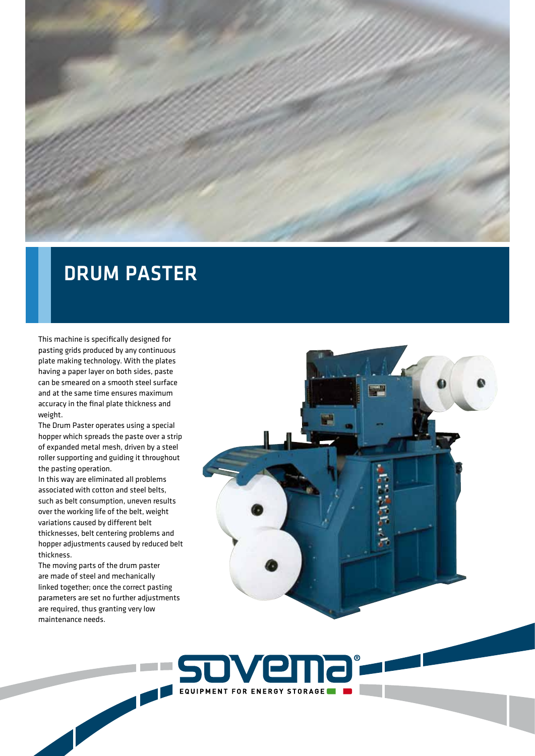

## DRUM PASTER

This machine is specifically designed for pasting grids produced by any continuous plate making technology. With the plates having a paper layer on both sides, paste can be smeared on a smooth steel surface and at the same time ensures maximum accuracy in the final plate thickness and weight.

The Drum Paster operates using a special hopper which spreads the paste over a strip of expanded metal mesh, driven by a steel roller supporting and guiding it throughout the pasting operation.

In this way are eliminated all problems associated with cotton and steel belts, such as belt consumption, uneven results over the working life of the belt, weight variations caused by different belt thicknesses, belt centering problems and hopper adjustments caused by reduced belt thickness.

The moving parts of the drum paster are made of steel and mechanically linked together; once the correct pasting parameters are set no further adjustments are required, thus granting very low maintenance needs.